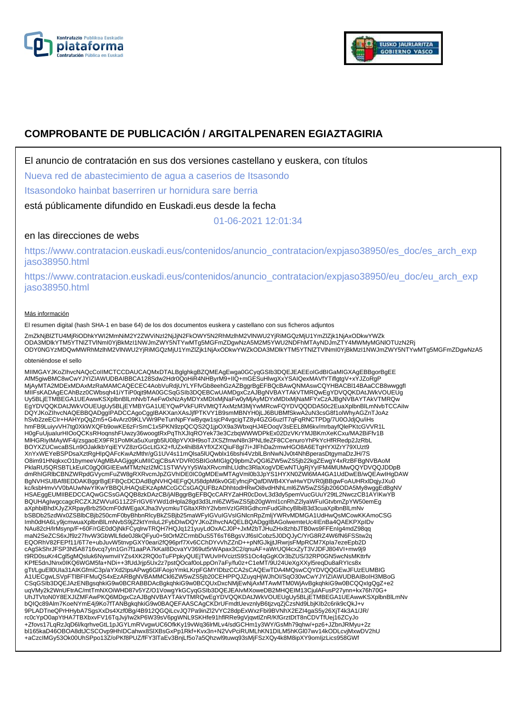



# **COMPROBANTE DE PUBLICACIÓN / ARGITALPENAREN EGIAZTAGIRIA**

El anuncio de contratación en sus dos versiones castellano y euskera, con títulos

Nueva red de abastecimiento de agua a caserios de Itsasondo

Itsasondoko hainbat baserriren ur hornidura sare berria

está públicamente difundido en Euskadi.eus desde la fecha

01-06-2021 12:01:34

## en las direcciones de webs

https://www.contratacion.euskadi.eus/contenidos/anuncio\_contratacion/expjaso38950/es\_doc/es\_arch\_exp jaso38950.html

https://www.contratacion.euskadi.eus/contenidos/anuncio\_contratacion/expjaso38950/eu\_doc/eu\_arch\_exp jaso38950.html

### Más información

El resumen digital (hash SHA-1 en base 64) de los dos documentos euskera y castellano con sus ficheros adjuntos

ZmZkNjBIZTU4MjRiODhkYWI2MmNiM2Y2ZWViNzI2NjJjN2FkOWY5N2RhMzlhM2VINWU2YjRiMGQzMjU1YmZIZjk1NjAxODkwYWZk<br>ODA3MDlkYTM5YTNIZTVINmI0YjBkMzI1NWJmZWY5NTYwMTg5MGFmZDgwNzA5M2M5YWU2NDFhMTAyNDJmZTY4MWMyMGNIOTUzN2Rj ODY0NGYzMDQwMWRhMzlhM2VlNWU2YjRiMGQzMjU1YmZlZjk1NjAxODkwYWZkODA3MDlkYTM5YTNlZTVlNmI0YjBkMzI1NWJmZWY5NTYwMTg5MGFmZDgwNzA5

#### obteniéndose el sello

MIIMGAYJKoZIhvcNAQcCoIIMCTCCDAUCAQMxDTALBgIghkgBZQMEAgEwga0GCyqGSIb3DQEJEAEEoIGdBIGaMIGXAgEBBgorBgEE<br>AfM5giwBMC8wCwYJYIZIAWUDBAIBBCA128Sdw2Hdr0QoHiR4NHByrM9+IIQ+mGESuHlwgXxYSAIQexMAVfYTiflgtgV+xYJZoRgP MjAyMTA2MDExMDAxMzRaMAMCAQECEC4AobVuRdjUYLYFfvGb8eehGzAZBggrBgEFBQcBAwQNMAswCQYHBACBl14BAaCCB8wwggfl<br>MIIFsKADAgECAhBzz0CWbsqh41iYTiP0qjt9MA0GCSqGSlb3DQEBCwUAMDgxCzAJBgNVBAYTAkVTMRQwEgYDVQQKDAtJWkVOUEUg Uy5BLjETMBEGA1UEAwwKSXplbnBlLmNvbTAeFw0xNzAyMDYxMDIxMjNaFw0yMjAyMDYxMDIxMjNaMFYxCzAJBgNVBAYTAkVTMRQw EgYDVQQKDAtJWkVOUEUgUy5BLjEYMBYGA1UEYQwPVkFURVMtQTAxMzM3MjYwMRcwFQYDVQQDDA50c2EuaXplbnBlLmNvbTCCAiIw DQYJKoZIhvcNAQEBBQADggIPADCCAgoCggIBAKXanXAsJjfPTKVY1B9smMBNYH0jLJ6BUBMfSkwA2uN3csG8f1olWhyAGZnTJoAz hSvb2zeECIr+HAHYpQqZm5+G4vArz09KLVWr9PeTunNpFYwByqw1sjcP4vgcigTZ8y4GZG6uzlT7qFqRNCTPDg/7U0OJdjQu/iHs hmFB9LuiyvVH7tg0XkWXQFb9owKE6zFrSmC1x5PKN9zpQCQS2Q1jpOX9a3WbxqHJ4EOoqV3sEEL8M6kv/mrbayfQlePKtcGVVR1L<br>H0gFuUjualurHlOoQCKsRHoqnshFUwzy36woogtRxPqThXJIqROYek73e3CzbqWWWDPkEx02DzVKrYMJBKmXeKCxu/MA2BiFfv1B<br>MIHGRiyIMAyWF4j/zsga XnYxWEYeBSPDsaXztRgHIpQAFcKwAzMthr/gG1UV4s11mQlsa5lUQwblx16bshi4VzblLBnNwNJv0t4NhBperasDtgymaDzJH/7S O8im91HNqkxcO1bymeeVAgMBAAGjggKuMIICqjCBsAYDVR0SBIGoMIGlgQ9pbmZvQGl6ZW5wZS5jb22kgZEwgY4xRzBFBgNVBAoM PklaRU5QRSBTLkEuIC0gQ0lGIEEwMTMzNzI2MC1STWVyYy5WaXRvcmlhLUdhc3RlaXogVDEwNTUgRjYyIFM4MUMwQQYDVQQJDDpB dmRhIGRlbCBNZWRpdGVycmFuZW8gRXRvcmJpZGVhIDE0IC0gMDEwMTAgVml0b3JpYS1HYXN0ZWl6MA4GA1UdDwEB/wQEAwIHgDAW BgNVHSUBAf8EDDAKBggrBgEFBQcDCDAdBgNVHQ4EFgQU58dpM6kv0GEyfncjPQafDIWB4XYwHwYDVR0jBBgwFoAUHRxlDqjyJXu0<br>kc/ksbHmvVV0bAUwNwYIKwYBBQUHAQsEKzApMCcGCCsGAQUFBzADhhtodHRwOi8vdHNhLml6ZW5wZS5jb206ODA5My8wggEdBgNV HSAEggEUMIIBEDCCAQwGCSsGAQQB8zkDAzCB/jAlBggrBgEFBQcCARYZaHR0cDovL3d3dy5pemVucGUuY29tL2NwczCB1AYIKwYB BQUHAgIwgccagcRCZXJtZWVuIG11Z2FrIGV6YWd1dHpla28gd3d3Lml6ZW5wZS5jb20gWml1cnRhZ2lyaWFuIGtvbmZpYW50emEg<br>aXphbiBhdXJyZXRpayBrb250cmF0dWEgaXJha3VycmkuTGltaXRhY2lvbmVzIGRIIGdhcmFudGlhcyBlbiB3d3cuaXplbnBlLmNv bSBDb25zdWx0ZSBlbCBjb250cmF0byBhbnRlcyBkZSBjb25maWFyIGVuIGVsIGNlcnRpZmljYWRvMDMGA1UdHwQsMCowKKAmoCSG Imh0dHA6Ly9jcmwuaXplbnBlLmNvbS9jZ2ktYmluL2FybDIwDQYJKoZIhvcNAQELBQADggIBAGolwemteUc4IEnBa4QAEKPXpIDv NAu82cH/lrMsynp/F+60F/rGE0dOjNkFCyqlrwTRQH7HQJq121yuyLdOxACJ0P+JxM2bTJHuZHx8zhbJTB0ws9FFEnIg4mdZ98qq maN2SeZCS6xJf9z27hvW3GbWlLfide0J8kQFyu0+5tOrMZCrmbDuS5T6sT6BgsVJf6sICobz5J0DQJyC/YrG8RZ4W6fN6FSStw2q EQORhV82FEPf11/6T7e+ubJuvW5tnvpGXY0eari2fQ96prf7Xv6CChDYvVhZZnD++pNfGJkjjtJRwrjsFMpRCM7Xpla7ezeEpb2D<br>cAgSkShrJFSP3N5A8716vcq7yIn1Gn7f1aaPA7kKaI8DcvaYV369ut5rWApax3C2/qnuAF+aWrUQl4cxZyT3VJDFJ804VI+mw9j9<br>t9RD0suKr4Cgl5gMQslu KPfE5dnJNnx0IKQ6WGM5fa+NDi++3fUdJrjp5Ux2z7pstQOcaf0oLppOn7aFy/fu0z+C1eMT/9U24UeXgXXyl5reqDu8aRYIcs8x gTt/LguEll0UIa31AIKGfmiC3p/aYXd2IpsAPwg6GlFAojoYmkLKrpFGMYIDbzCCA2sCAQEwTDA4MQswCQYDVQQGEwJFUzEUMBIG A1UECgwLSVpFTlBFIFMuQS4xEzARBgNVBAMMCkl6ZW5wZS5jb20CEHPPQJZuyqHjWJhOI/SqO30wCwYJYIZIAWUDBAIBoIH3MBoG CSqGSIb3DQEJAzENBgsqhkiG9w0BCRABBDAcBgkqhkiG9w0BCQUxDxcNMjEwNjAxMTAwMTM0WjAvBgkqhkiG9w0BCQQxIgQgZ+e2 uqVMy2k2WnUFtrAC/mtTmNXOiWHD87v5YZ/O1VowgYkGCyqGSlb3DQEJEAIvMXoweDB2MHQEIM13CjulAFusP27ynn+kx76h70G+<br>UhJTVtoN0Y8EXJIZMFAwPKQ6MDgxCzAJBgNVBAYTAkVTMRQwEgYDVQQKDAtJWkVOUEUgUy5BLjETMBEGA1UEAwwKSXplbnBlLmNv bQIQc89Alm7KoeNYmE4j9Ko7fTANBgkqhkiG9w0BAQEFAASCAgCKDrUFmdtUevznlyB6tjzvqZjCzsNd9LbjKIb2c6rik9cQkJ+v 9PLADTneQPrHHybA7SgsXxDs4Xzf0Bg/4B912QGQiLcvJQ7Pa9inZl2VYC28dpExWxzFbi9BVNhX2EZI4gaS5y26XjT4k3A1/JR/ rc0cYpO0apYtHA7TBXbxvFV16TqJvj/Iw2kP6W39sV6pgWNL9SKHfe91hflRRe9gVjqwtlZnR/KfGrztDtT8nCDVTfUej16ZCyJo<br>+Zfovs17LqRzJqD6l/kqrhveGtL1pJGYLmRVvgwUC6OfkKy19vWq36lrMLv4/sdGCHm1y3WY/GsMh79qhw/+pz6+JZbnJRMyu+2z bl165kaD46OBOA8dtJCSCOvp9HhIDCahwx8SlXBsGxPp1Rkf+Kvx3n+N2VvPciRUMLhKN1DILM5hKGl07wv14kODLcvjMxwDV2hU +aCzcIMGy53Ok00UhSPpo13Z/oPKf8PUZ/fFY3lTaEv3BnjLf5o7a5Qhzwl9tuwq93sMjFSzXQy4k8M8ipXY9omIjzLics958GWf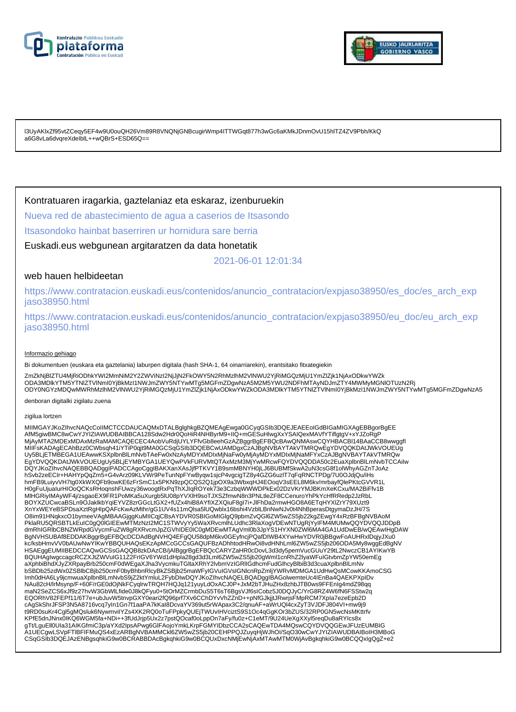



l3UyAKlxZf95vtZCeqy5EF4w9U0ouQH26Vm89R8VNQNjGNBcugirWmp4ITTWGqt877h3wGc6aKMkJDnmOvU15hlTZ4ZV9Pbh/KkQ a6G8vLa6dvqreXdeIblL++wQBrS+ESD65Q==

### Kontratuaren iragarkia, gaztelaniaz eta eskaraz, izenburuekin

Nueva red de abastecimiento de agua a caserios de Itsasondo

Itsasondoko hainbat baserriren ur hornidura sare berria

Euskadi.eus webgunean argitaratzen da data honetatik

2021-06-01 12:01:34

### web hauen helbideetan

https://www.contratacion.euskadi.eus/contenidos/anuncio\_contratacion/expjaso38950/es\_doc/es\_arch\_exp jaso38950.html

https://www.contratacion.euskadi.eus/contenidos/anuncio\_contratacion/expjaso38950/eu\_doc/eu\_arch\_exp jaso38950.html

#### Informazio gehiago

Bi dokumentuen (euskara eta gaztelania) laburpen digitala (hash SHA-1, 64 oinarriarekin), erantsitako fitxategiekin

ZmZkNjBlZTU4MjRiODhkYWI2MmNiM2Y2ZWViNzI2NjJjN2FkOWY5N2RhMzlhM2VlNWU2YjRiMGQzMjU1YmZlZjk1NjAxODkwYWZk ODA3MDlkYTM5YTNIZTVINmI0YjBkMzI1NWJmZWY5NTYwMTg5MGFmZDgwNzA5M2M5YWU2NDFhMTAyNDJmZTY4MWMyMGNIOTUzN2Rj<br>ODY0NGYzMDQwMWRhMzlhM2VlNWU2YjRiMGQzMjU1YmZlZjk1NjAxODkwYWZkODA3MDlkYTM5YTNIZTVlNmI0YjBkMzI1NWJmZWY5NTYwMTg5MGFmZDgwNzA5

denboran digitalki zigilatu zuena

#### zigilua lortzen

MIIMGAYJKoZIhvcNAQcCoIIMCTCCDAUCAQMxDTALBglghkgBZQMEAgEwga0GCyqGSIb3DQEJEAEEoIGdBIGaMIGXAgEBBgorBgEE AfM5giwBMC8wCwYJYIZIAWUDBAIBBCA128Sdw2Hdr0QoHiR4NHByrM9+IIQ+mGESuHlwgXxYSAIQexMAVfYTiflgtgV+xYJZoRgP MjAyMTA2MDExMDAxMzRaMAMCAQECEC4AobVuRdjUYLYFfvGb8eehGzAZBggrBgEFBQcBAwQNMAswCQYHBACBl14BAaCCB8wwggfI MIIFsKADAgECAhBzz0CWbsqh41iYTiP0qjt9MA0GCSqGSIb3DQEBCwUAMDgxCzAJBgNVBAYTAkVTMRQwEgYDVQQKDAtJWkVOUEUg Uy5BLjETMBEGA1UEAwwKSXplbnBlLmNvbTAeFw0xNzAyMDYxMDIxMjNaFw0yMjAyMDYxMDIxMjNaMFYxCzAJBgNVBAYTAkVTMRQw EgYDVQQKDAtJWkVOUEUgUy5BLjEYMBYGA1UEYQwPVkFURVMtQTAxMzM3MjYwMRcwFQYDVQQDDA50c2EuaXplbnBlLmNvbTCCAiIw<br>DQYJKoZIhvcNAQEBBQADggIPADCCAgoCggIBAKXanXAsJjfPTKVY1B9smMBNYH0jLJ6BUBMfSkwA2uN3csG8f1olWhyAGZnTJoAz hSvb2zeECIr+HAHYpQqZm5+G4vArz09KLVWr9PeTunNpFYwByqw1sjcP4vgcigTZ8y4GZG6uzlT7qFqRNCTPDg/7U0OJdjQu/iHs hmFB9LuiyvVH7tg0XkWXQFb9owKE6zFrSmC1x5PKN9zpQCQS2Q1jpOX9a3WbxqHJ4EOoqV3sEEL8M6kv/mrbayfQlePKtcGVVR1L H0gFuUjuaIurHIOoQCKsRHoqnshFUwzy36woogtRxPqThXJIqROYek73e3CzbqWWWDPkEx02DzVKrYMJBKmXeKCxu/MA2BiFfv1B MlHGRiyIMAyWF4j/zsgaoEX9FR1PoMKa5uXurgb5lU08pYVXlH9soTJXSZfmwN8n3PNLtleZF8CCenuroYhPkYcHfRRedp2JzRbL BOYXZUCwcaBSLn9OJaklkbYqiEYVZ8zrGGcLtGX2+fUZx4hiB8AYfIXZXQiuF8gI7i+JlFhDa2rmwHGO8A6ETqHYXlZrY79XUzt9 XnYxWEYeBSPDsaXztRgHIpQAFcKwAzMthr/gG1UV4s11mQlsa5lUQwblx16bshi4VzblLBnNwNJv0t4NhBperasDtgymaDzJH/7S O8im91HNqkxcO1bymeeVAgMBAAGjggKuMIICqjCBsAYDVR0SBIGoMIGIgQ9pbmZvQGI6ZW5wZS5jb22kgZEwgY4xRzBFBgNVBAoM<br>PklaRU5QRSBTLkEuIC0gQ0IGIEEwMTMzNzI2MC1STWVyYy5WaXRvcmlhLUdhc3RlaXogVDEwNTUgRjYyIFM4MUMwQQYDVQQJDDpB dmRhIGRlbCBNZWRpdGVycmFuZW8gRXRvcmJpZGVhIDE0IC0gMDEwMTAgVml0b3JpYS1HYXN0ZWl6MA4GA1UdDwEB/wQEAwIHgDAW BgNVHSUBAf8EDDAKBggrBgEFBQcDCDAdBgNVHQ4EFgQU58dpM6kv0GEyfncjPQafDIWB4XYwHwYDVR0jBBgwFoAUHRxlDqjyJXu0 kc/ksbHmvVV0bAUwNwYIKwYBBQUHAQsEKzApMCcGCCsGAQUFBzADhhtodHRwOi8vdHNhLml6ZW5wZS5jb206ODA5My8wggEdBgNV HSAEggEUMIIBEDCCAQwGCSsGAQQB8zkDAzCB/jAlBggrBgEFBQcCARYZaHR0cDovL3d3dy5pemVucGUuY29tL2NwczCB1AYIKwYB BQUHAgIwgccagcRCZXJtZWVuIG11Z2FrIGV6YWd1dHpla28gd3d3Lml6ZW5wZS5jb20gWml1cnRhZ2lyaWFuIGtvbmZpYW50emEg aXphbiBhdXJyZXRpayBrb250cmF0dWEgaXJha3VycmkuTGltaXRhY2lvbmVzIGRlIGdhcmFudGlhcyBlbiB3d3cuaXplbnBlLmNv bSBDb25zdWx0ZSBlbCBjb250cmF0byBhbnRlcyBkZSBjb25maWFyIGVuIGVsIGNlcnRpZmljYWRvMDMGA1UdHwQsMCowKKAmoCSG Imh0dHA6Ly9jcmwuaXplbnBlLmNvbS9jZ2ktYmluL2FybDIwDQYJKoZIhvcNAQELBQADggIBAGolwemteUc4IEnBa4QAEKPXpIDv NAu82cH/lrMsynp/F+60F/rGE0dOjNkFCyqlrwTRQH7HQJq121yuyLdOxACJ0P+JxM2bTJHuZHx8zhbJTB0ws9FFEnIg4mdZ98qq maN2SeZCS6xJf9z27hvW3GbWlLfide0J8kQFyu0+5tOrMZCrmbDuS5T6sT6BgsVJf6sICobz5J0DQJyC/YrG8RZ4W6fN6FSStw2q EQORhV82FEPf11/6T7e+ubJuvW5tnvpGXY0eari2fQ96prf7Xv6CChDYvVhZZnD++pNfGJkjjtJRwrjsFMpRCM7XpIa7ezeEpb2D cAgSkShrJFSP3N5A8716vcq7yIn1Gn7f1aaPA7kKaI8DcvaYV369ut5rWApax3C2/qnuAF+aWrUQl4cxZyT3VJDFJ804VI+mw9j9 t9RD0suKr4Cgl5gMQsluk6NywmviIYZs4XK2RQ0oTuFPpkyQUEjTWUvIHVciztS9S1Oc4qGgKOr3bZUS/32RP0GN5wcNsMKttrfv KPfE5dnJNnx0IKQ6WGM5fa+NDi++3fUdJrjp5Ux2z7pstQOcaf0oLppOn7aFy/fu0z+C1eMT/9U24UeXgXXyl5reqDu8aRYIcs8x gTt/LguEll0Ula31AIKGfmiC3p/aYXd2lpsAPwg6GlFAojoYmkLKrpFGMYIDbzCCA2sCAQEwTDA4MQswCQYDVQQGEwJFUzEUMBIG<br>A1UECgwLSVpFTIBFIFMuQS4xEzARBgNVBAMMCkl6ZW5wZS5jb20CEHPPQJZuyqHjWJhOI/SqO30wCwYJYIZIAWUDBAIBoIH3MBoG CSqGSIb3DQEJAzENBgsqhkiG9w0BCRABBDAcBgkqhkiG9w0BCQUxDxcNMjEwNjAxMTAwMTM0WjAvBgkqhkiG9w0BCQQxIgQgZ+e2